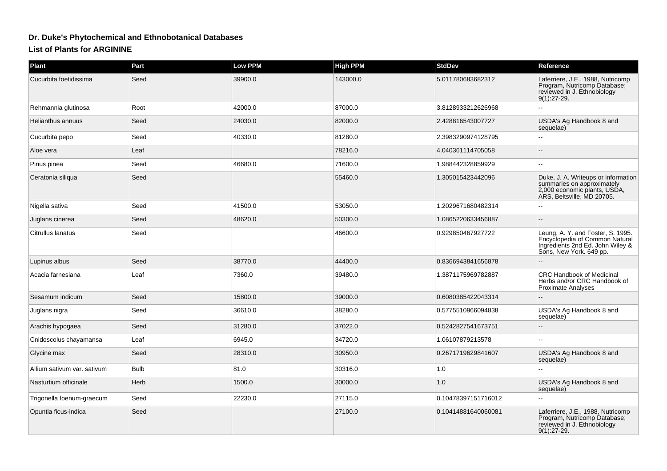## **Dr. Duke's Phytochemical and Ethnobotanical Databases**

## **List of Plants for ARGININE**

| <b>Plant</b>                | Part        | Low PPM | <b>High PPM</b> | <b>StdDev</b>       | Reference                                                                                                                          |
|-----------------------------|-------------|---------|-----------------|---------------------|------------------------------------------------------------------------------------------------------------------------------------|
| Cucurbita foetidissima      | Seed        | 39900.0 | 143000.0        | 5.011780683682312   | Laferriere, J.E., 1988, Nutricomp<br>Program, Nutricomp Database;<br>reviewed in J. Ethnobiology<br>$9(1):27-29.$                  |
| Rehmannia glutinosa         | Root        | 42000.0 | 87000.0         | 3.8128933212626968  |                                                                                                                                    |
| Helianthus annuus           | Seed        | 24030.0 | 82000.0         | 2.428816543007727   | USDA's Ag Handbook 8 and<br>sequelae)                                                                                              |
| Cucurbita pepo              | Seed        | 40330.0 | 81280.0         | 2.3983290974128795  |                                                                                                                                    |
| Aloe vera                   | Leaf        |         | 78216.0         | 4.040361114705058   |                                                                                                                                    |
| Pinus pinea                 | Seed        | 46680.0 | 71600.0         | 1.988442328859929   | $\sim$                                                                                                                             |
| Ceratonia siliqua           | Seed        |         | 55460.0         | 1.305015423442096   | Duke, J. A. Writeups or information<br>summaries on approximately<br>2,000 economic plants, USDA,<br>ARS, Beltsville, MD 20705.    |
| Nigella sativa              | Seed        | 41500.0 | 53050.0         | 1.2029671680482314  |                                                                                                                                    |
| Juglans cinerea             | Seed        | 48620.0 | 50300.0         | 1.0865220633456887  |                                                                                                                                    |
| Citrullus lanatus           | Seed        |         | 46600.0         | 0.929850467927722   | Leung, A. Y. and Foster, S. 1995.<br>Encyclopedia of Common Natural<br>Ingredients 2nd Ed. John Wiley &<br>Sons, New York. 649 pp. |
| Lupinus albus               | Seed        | 38770.0 | 44400.0         | 0.8366943841656878  |                                                                                                                                    |
| Acacia farnesiana           | Leaf        | 7360.0  | 39480.0         | 1.3871175969782887  | <b>CRC Handbook of Medicinal</b><br>Herbs and/or CRC Handbook of<br><b>Proximate Analyses</b>                                      |
| Sesamum indicum             | Seed        | 15800.0 | 39000.0         | 0.6080385422043314  |                                                                                                                                    |
| Juglans nigra               | Seed        | 36610.0 | 38280.0         | 0.5775510966094838  | USDA's Ag Handbook 8 and<br>sequelae)                                                                                              |
| Arachis hypogaea            | Seed        | 31280.0 | 37022.0         | 0.5242827541673751  |                                                                                                                                    |
| Cnidoscolus chayamansa      | Leaf        | 6945.0  | 34720.0         | 1.06107879213578    |                                                                                                                                    |
| Glycine max                 | Seed        | 28310.0 | 30950.0         | 0.2671719629841607  | USDA's Ag Handbook 8 and<br>sequelae)                                                                                              |
| Allium sativum var. sativum | <b>Bulb</b> | 81.0    | 30316.0         | 1.0                 |                                                                                                                                    |
| Nasturtium officinale       | Herb        | 1500.0  | 30000.0         | 1.0                 | USDA's Ag Handbook 8 and<br>sequelae)                                                                                              |
| Trigonella foenum-graecum   | Seed        | 22230.0 | 27115.0         | 0.10478397151716012 |                                                                                                                                    |
| Opuntia ficus-indica        | Seed        |         | 27100.0         | 0.10414881640060081 | Laferriere, J.E., 1988, Nutricomp<br>Program, Nutricomp Database;<br>reviewed in J. Ethnobiology<br>$9(1):27-29.$                  |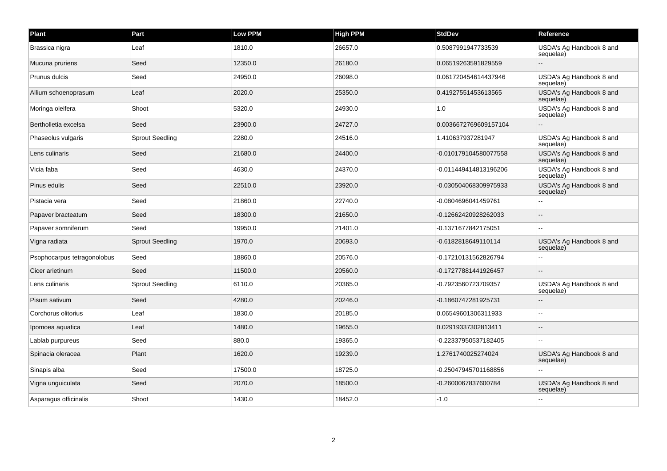| Plant                       | Part                   | Low PPM | <b>High PPM</b> | <b>StdDev</b>         | Reference                             |
|-----------------------------|------------------------|---------|-----------------|-----------------------|---------------------------------------|
| Brassica nigra              | Leaf                   | 1810.0  | 26657.0         | 0.5087991947733539    | USDA's Ag Handbook 8 and<br>sequelae) |
| Mucuna pruriens             | Seed                   | 12350.0 | 26180.0         | 0.06519263591829559   |                                       |
| Prunus dulcis               | Seed                   | 24950.0 | 26098.0         | 0.061720454614437946  | USDA's Ag Handbook 8 and<br>sequelae) |
| Allium schoenoprasum        | Leaf                   | 2020.0  | 25350.0         | 0.41927551453613565   | USDA's Ag Handbook 8 and<br>sequelae) |
| Moringa oleifera            | Shoot                  | 5320.0  | 24930.0         | 1.0                   | USDA's Ag Handbook 8 and<br>sequelae) |
| Bertholletia excelsa        | Seed                   | 23900.0 | 24727.0         | 0.0036672769609157104 |                                       |
| Phaseolus vulgaris          | <b>Sprout Seedling</b> | 2280.0  | 24516.0         | 1.410637937281947     | USDA's Ag Handbook 8 and<br>sequelae) |
| Lens culinaris              | Seed                   | 21680.0 | 24400.0         | -0.010179104580077558 | USDA's Ag Handbook 8 and<br>sequelae) |
| Vicia faba                  | Seed                   | 4630.0  | 24370.0         | -0.011449414813196206 | USDA's Ag Handbook 8 and<br>sequelae) |
| Pinus edulis                | Seed                   | 22510.0 | 23920.0         | -0.030504068309975933 | USDA's Ag Handbook 8 and<br>sequelae) |
| Pistacia vera               | Seed                   | 21860.0 | 22740.0         | -0.0804696041459761   |                                       |
| Papaver bracteatum          | Seed                   | 18300.0 | 21650.0         | -0.12662420928262033  |                                       |
| Papaver somniferum          | Seed                   | 19950.0 | 21401.0         | -0.1371677842175051   |                                       |
| Vigna radiata               | <b>Sprout Seedling</b> | 1970.0  | 20693.0         | -0.6182818649110114   | USDA's Ag Handbook 8 and<br>sequelae) |
| Psophocarpus tetragonolobus | Seed                   | 18860.0 | 20576.0         | -0.17210131562826794  |                                       |
| Cicer arietinum             | Seed                   | 11500.0 | 20560.0         | -0.17277881441926457  |                                       |
| Lens culinaris              | <b>Sprout Seedling</b> | 6110.0  | 20365.0         | -0.7923560723709357   | USDA's Ag Handbook 8 and<br>sequelae) |
| Pisum sativum               | Seed                   | 4280.0  | 20246.0         | -0.1860747281925731   |                                       |
| Corchorus olitorius         | Leaf                   | 1830.0  | 20185.0         | 0.06549601306311933   |                                       |
| Ipomoea aquatica            | Leaf                   | 1480.0  | 19655.0         | 0.02919337302813411   |                                       |
| Lablab purpureus            | Seed                   | 880.0   | 19365.0         | -0.22337950537182405  |                                       |
| Spinacia oleracea           | Plant                  | 1620.0  | 19239.0         | 1.2761740025274024    | USDA's Ag Handbook 8 and<br>sequelae) |
| Sinapis alba                | Seed                   | 17500.0 | 18725.0         | -0.25047945701168856  |                                       |
| Vigna unguiculata           | Seed                   | 2070.0  | 18500.0         | -0.2600067837600784   | USDA's Ag Handbook 8 and<br>sequelae) |
| Asparagus officinalis       | Shoot                  | 1430.0  | 18452.0         | $-1.0$                |                                       |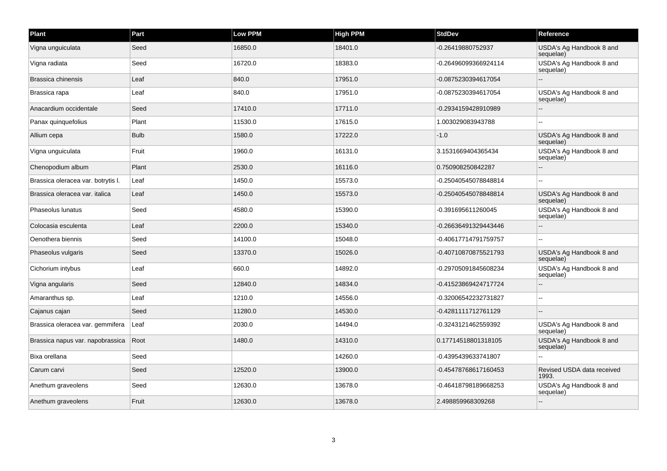| Plant                              | Part        | <b>Low PPM</b> | <b>High PPM</b> | <b>StdDev</b>        | Reference                             |
|------------------------------------|-------------|----------------|-----------------|----------------------|---------------------------------------|
| Vigna unguiculata                  | Seed        | 16850.0        | 18401.0         | -0.26419880752937    | USDA's Ag Handbook 8 and<br>sequelae) |
| Vigna radiata                      | Seed        | 16720.0        | 18383.0         | -0.26496099366924114 | USDA's Ag Handbook 8 and<br>sequelae) |
| Brassica chinensis                 | Leaf        | 840.0          | 17951.0         | -0.0875230394617054  |                                       |
| Brassica rapa                      | Leaf        | 840.0          | 17951.0         | -0.0875230394617054  | USDA's Ag Handbook 8 and<br>sequelae) |
| Anacardium occidentale             | Seed        | 17410.0        | 17711.0         | -0.2934159428910989  |                                       |
| Panax quinquefolius                | Plant       | 11530.0        | 17615.0         | 1.003029083943788    |                                       |
| Allium cepa                        | <b>Bulb</b> | 1580.0         | 17222.0         | $-1.0$               | USDA's Ag Handbook 8 and<br>sequelae) |
| Vigna unguiculata                  | Fruit       | 1960.0         | 16131.0         | 3.1531669404365434   | USDA's Ag Handbook 8 and<br>sequelae) |
| Chenopodium album                  | Plant       | 2530.0         | 16116.0         | 0.750908250842287    |                                       |
| Brassica oleracea var. botrytis I. | Leaf        | 1450.0         | 15573.0         | -0.25040545078848814 |                                       |
| Brassica oleracea var. italica     | Leaf        | 1450.0         | 15573.0         | -0.25040545078848814 | USDA's Ag Handbook 8 and<br>sequelae) |
| Phaseolus lunatus                  | Seed        | 4580.0         | 15390.0         | -0.391695611260045   | USDA's Ag Handbook 8 and<br>sequelae) |
| Colocasia esculenta                | Leaf        | 2200.0         | 15340.0         | -0.26636491329443446 |                                       |
| Oenothera biennis                  | Seed        | 14100.0        | 15048.0         | -0.40617714791759757 |                                       |
| Phaseolus vulgaris                 | Seed        | 13370.0        | 15026.0         | -0.40710870875521793 | USDA's Ag Handbook 8 and<br>sequelae) |
| Cichorium intybus                  | Leaf        | 660.0          | 14892.0         | -0.29705091845608234 | USDA's Ag Handbook 8 and<br>sequelae) |
| Vigna angularis                    | Seed        | 12840.0        | 14834.0         | -0.41523869424717724 |                                       |
| Amaranthus sp.                     | Leaf        | 1210.0         | 14556.0         | -0.32006542232731827 |                                       |
| Cajanus cajan                      | Seed        | 11280.0        | 14530.0         | -0.4281111712761129  |                                       |
| Brassica oleracea var. gemmifera   | Leaf        | 2030.0         | 14494.0         | -0.3243121462559392  | USDA's Ag Handbook 8 and<br>sequelae) |
| Brassica napus var. napobrassica   | Root        | 1480.0         | 14310.0         | 0.17714518801318105  | USDA's Ag Handbook 8 and<br>sequelae) |
| Bixa orellana                      | Seed        |                | 14260.0         | -0.4395439633741807  |                                       |
| Carum carvi                        | Seed        | 12520.0        | 13900.0         | -0.45478768617160453 | Revised USDA data received<br>1993.   |
| Anethum graveolens                 | Seed        | 12630.0        | 13678.0         | -0.46418798189668253 | USDA's Ag Handbook 8 and<br>sequelae) |
| Anethum graveolens                 | Fruit       | 12630.0        | 13678.0         | 2.498859968309268    |                                       |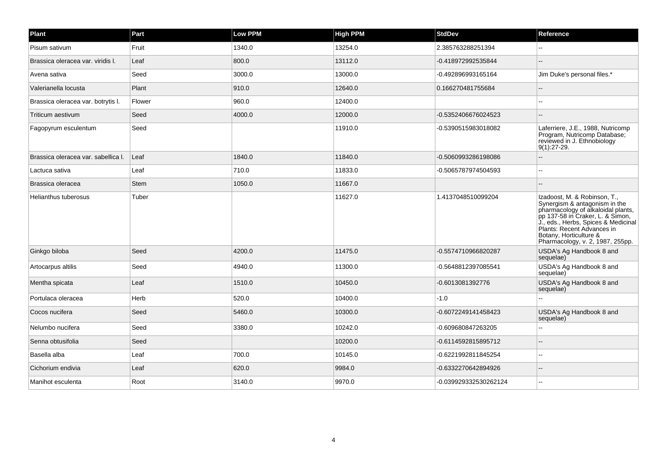| <b>Plant</b>                        | Part        | <b>Low PPM</b> | <b>High PPM</b> | <b>StdDev</b>         | Reference                                                                                                                                                                                                                                                                  |
|-------------------------------------|-------------|----------------|-----------------|-----------------------|----------------------------------------------------------------------------------------------------------------------------------------------------------------------------------------------------------------------------------------------------------------------------|
| Pisum sativum                       | Fruit       | 1340.0         | 13254.0         | 2.385763288251394     |                                                                                                                                                                                                                                                                            |
| Brassica oleracea var. viridis I.   | Leaf        | 800.0          | 13112.0         | -0.418972992535844    |                                                                                                                                                                                                                                                                            |
| Avena sativa                        | Seed        | 3000.0         | 13000.0         | -0.492896993165164    | Jim Duke's personal files.*                                                                                                                                                                                                                                                |
| Valerianella locusta                | Plant       | 910.0          | 12640.0         | 0.166270481755684     | ÷.                                                                                                                                                                                                                                                                         |
| Brassica oleracea var. botrytis I.  | Flower      | 960.0          | 12400.0         |                       |                                                                                                                                                                                                                                                                            |
| Triticum aestivum                   | Seed        | 4000.0         | 12000.0         | -0.5352406676024523   | $\sim$                                                                                                                                                                                                                                                                     |
| Fagopyrum esculentum                | Seed        |                | 11910.0         | -0.5390515983018082   | Laferriere, J.E., 1988, Nutricomp<br>Program, Nutricomp Database;<br>reviewed in J. Ethnobiology<br>$9(1):27-29.$                                                                                                                                                          |
| Brassica oleracea var. sabellica I. | Leaf        | 1840.0         | 11840.0         | -0.5060993286198086   |                                                                                                                                                                                                                                                                            |
| Lactuca sativa                      | Leaf        | 710.0          | 11833.0         | -0.5065787974504593   | $\overline{a}$                                                                                                                                                                                                                                                             |
| Brassica oleracea                   | <b>Stem</b> | 1050.0         | 11667.0         |                       | $\overline{\phantom{a}}$                                                                                                                                                                                                                                                   |
| Helianthus tuberosus                | Tuber       |                | 11627.0         | 1.4137048510099204    | Izadoost, M. & Robinson, T.,<br>Synergism & antagonism in the<br>pharmacology of alkaloidal plants,<br>pp 137-58 in Craker, L. & Simon,<br>J., eds., Herbs, Spices & Medicinal<br>Plants: Recent Advances in<br>Botany, Horticulture &<br>Pharmacology, v. 2, 1987, 255pp. |
| Ginkgo biloba                       | Seed        | 4200.0         | 11475.0         | -0.5574710966820287   | USDA's Ag Handbook 8 and<br>sequelae)                                                                                                                                                                                                                                      |
| Artocarpus altilis                  | Seed        | 4940.0         | 11300.0         | -0.5648812397085541   | USDA's Ag Handbook 8 and<br>sequelae)                                                                                                                                                                                                                                      |
| Mentha spicata                      | Leaf        | 1510.0         | 10450.0         | -0.6013081392776      | USDA's Ag Handbook 8 and<br>sequelae)                                                                                                                                                                                                                                      |
| Portulaca oleracea                  | Herb        | 520.0          | 10400.0         | $-1.0$                |                                                                                                                                                                                                                                                                            |
| Cocos nucifera                      | Seed        | 5460.0         | 10300.0         | -0.6072249141458423   | USDA's Ag Handbook 8 and<br>sequelae)                                                                                                                                                                                                                                      |
| Nelumbo nucifera                    | Seed        | 3380.0         | 10242.0         | -0.609680847263205    |                                                                                                                                                                                                                                                                            |
| Senna obtusifolia                   | Seed        |                | 10200.0         | -0.6114592815895712   |                                                                                                                                                                                                                                                                            |
| Basella alba                        | Leaf        | 700.0          | 10145.0         | -0.6221992811845254   |                                                                                                                                                                                                                                                                            |
| Cichorium endivia                   | Leaf        | 620.0          | 9984.0          | -0.6332270642894926   |                                                                                                                                                                                                                                                                            |
| Manihot esculenta                   | Root        | 3140.0         | 9970.0          | -0.039929332530262124 |                                                                                                                                                                                                                                                                            |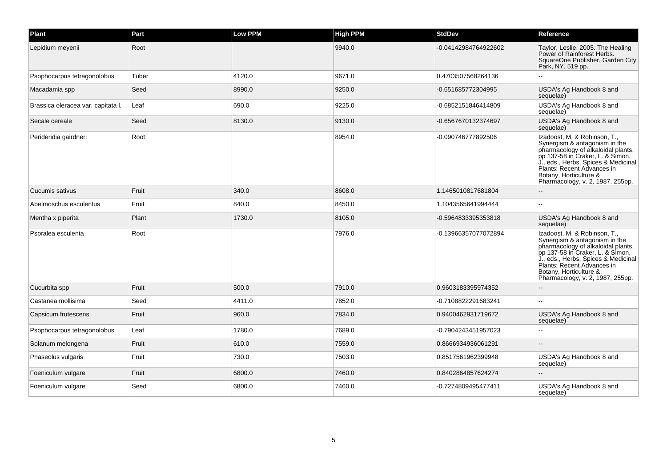| <b>Plant</b>                       | Part  | <b>Low PPM</b> | <b>High PPM</b> | <b>StdDev</b>        | Reference                                                                                                                                                                                                                                                                  |
|------------------------------------|-------|----------------|-----------------|----------------------|----------------------------------------------------------------------------------------------------------------------------------------------------------------------------------------------------------------------------------------------------------------------------|
| Lepidium meyenii                   | Root  |                | 9940.0          | -0.04142984764922602 | Taylor, Leslie. 2005. The Healing<br>Power of Rainforest Herbs.<br>SquareOne Publisher, Garden City<br>Park, NY. 519 pp.                                                                                                                                                   |
| Psophocarpus tetragonolobus        | Tuber | 4120.0         | 9671.0          | 0.4703507568264136   |                                                                                                                                                                                                                                                                            |
| Macadamia spp                      | Seed  | 8990.0         | 9250.0          | -0.651685772304995   | USDA's Ag Handbook 8 and<br>sequelae)                                                                                                                                                                                                                                      |
| Brassica oleracea var. capitata I. | Leaf  | 690.0          | 9225.0          | -0.6852151846414809  | USDA's Ag Handbook 8 and<br>sequelae)                                                                                                                                                                                                                                      |
| Secale cereale                     | Seed  | 8130.0         | 9130.0          | -0.6567670132374697  | USDA's Ag Handbook 8 and<br>sequelae)                                                                                                                                                                                                                                      |
| Perideridia gairdneri              | Root  |                | 8954.0          | -0.090746777892506   | Izadoost, M. & Robinson, T.,<br>Synergism & antagonism in the<br>pharmacology of alkaloidal plants,<br>pp 137-58 in Craker, L. & Simon,<br>J., eds., Herbs, Spices & Medicinal<br>Plants: Recent Advances in<br>Botany, Horticulture &<br>Pharmacology, v. 2, 1987, 255pp. |
| Cucumis sativus                    | Fruit | 340.0          | 8608.0          | 1.1465010817681804   |                                                                                                                                                                                                                                                                            |
| Abelmoschus esculentus             | Fruit | 840.0          | 8450.0          | 1.1043565641994444   |                                                                                                                                                                                                                                                                            |
| Mentha x piperita                  | Plant | 1730.0         | 8105.0          | -0.5964833395353818  | USDA's Ag Handbook 8 and<br>sequelae)                                                                                                                                                                                                                                      |
| Psoralea esculenta                 | Root  |                | 7976.0          | -0.13966357077072894 | Izadoost, M. & Robinson, T.,<br>Synergism & antagonism in the<br>pharmacology of alkaloidal plants,<br>pp 137-58 in Craker, L. & Simon,<br>J., eds., Herbs, Spices & Medicinal<br>Plants: Recent Advances in<br>Botany, Horticulture &<br>Pharmacology, v. 2, 1987, 255pp. |
| Cucurbita spp                      | Fruit | 500.0          | 7910.0          | 0.9603183395974352   |                                                                                                                                                                                                                                                                            |
| Castanea mollisima                 | Seed  | 4411.0         | 7852.0          | -0.7108822291683241  |                                                                                                                                                                                                                                                                            |
| Capsicum frutescens                | Fruit | 960.0          | 7834.0          | 0.9400462931719672   | USDA's Ag Handbook 8 and<br>sequelae)                                                                                                                                                                                                                                      |
| Psophocarpus tetragonolobus        | Leaf  | 1780.0         | 7689.0          | -0.7904243451957023  |                                                                                                                                                                                                                                                                            |
| Solanum melongena                  | Fruit | 610.0          | 7559.0          | 0.8666934936061291   |                                                                                                                                                                                                                                                                            |
| Phaseolus vulgaris                 | Fruit | 730.0          | 7503.0          | 0.8517561962399948   | USDA's Ag Handbook 8 and<br>sequelae)                                                                                                                                                                                                                                      |
| Foeniculum vulgare                 | Fruit | 6800.0         | 7460.0          | 0.8402864857624274   |                                                                                                                                                                                                                                                                            |
| Foeniculum vulgare                 | Seed  | 6800.0         | 7460.0          | -0.7274809495477411  | USDA's Ag Handbook 8 and<br>sequelae)                                                                                                                                                                                                                                      |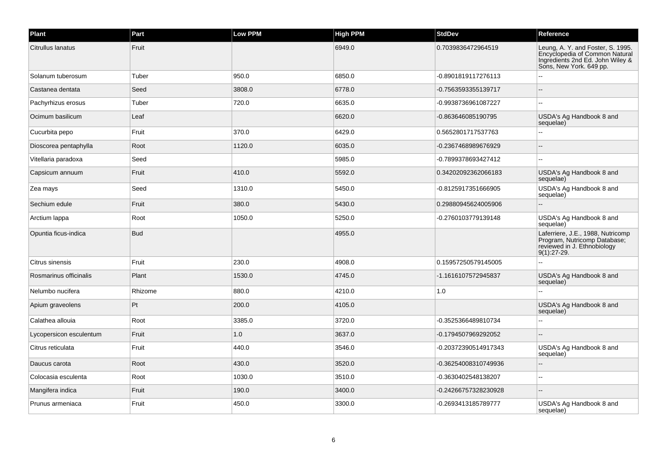| Plant                   | Part       | Low PPM | <b>High PPM</b> | <b>StdDev</b>        | Reference                                                                                                                          |
|-------------------------|------------|---------|-----------------|----------------------|------------------------------------------------------------------------------------------------------------------------------------|
| Citrullus lanatus       | Fruit      |         | 6949.0          | 0.7039836472964519   | Leung, A. Y. and Foster, S. 1995.<br>Encyclopedia of Common Natural<br>Ingredients 2nd Ed. John Wiley &<br>Sons, New York. 649 pp. |
| Solanum tuberosum       | Tuber      | 950.0   | 6850.0          | -0.8901819117276113  |                                                                                                                                    |
| Castanea dentata        | Seed       | 3808.0  | 6778.0          | -0.7563593355139717  |                                                                                                                                    |
| Pachyrhizus erosus      | Tuber      | 720.0   | 6635.0          | -0.9938736961087227  |                                                                                                                                    |
| Ocimum basilicum        | Leaf       |         | 6620.0          | -0.863646085190795   | USDA's Ag Handbook 8 and<br>sequelae)                                                                                              |
| Cucurbita pepo          | Fruit      | 370.0   | 6429.0          | 0.5652801717537763   |                                                                                                                                    |
| Dioscorea pentaphylla   | Root       | 1120.0  | 6035.0          | -0.2367468989676929  |                                                                                                                                    |
| Vitellaria paradoxa     | Seed       |         | 5985.0          | -0.7899378693427412  |                                                                                                                                    |
| Capsicum annuum         | Fruit      | 410.0   | 5592.0          | 0.34202092362066183  | USDA's Ag Handbook 8 and<br>sequelae)                                                                                              |
| Zea mays                | Seed       | 1310.0  | 5450.0          | -0.8125917351666905  | USDA's Ag Handbook 8 and<br>sequelae)                                                                                              |
| Sechium edule           | Fruit      | 380.0   | 5430.0          | 0.29880945624005906  |                                                                                                                                    |
| Arctium Iappa           | Root       | 1050.0  | 5250.0          | -0.2760103779139148  | USDA's Ag Handbook 8 and<br>sequelae)                                                                                              |
| Opuntia ficus-indica    | <b>Bud</b> |         | 4955.0          |                      | Laferriere, J.E., 1988, Nutricomp<br>Program, Nutricomp Database;<br>reviewed in J. Ethnobiology<br>$9(1):27-29.$                  |
| Citrus sinensis         | Fruit      | 230.0   | 4908.0          | 0.15957250579145005  |                                                                                                                                    |
| Rosmarinus officinalis  | Plant      | 1530.0  | 4745.0          | -1.1616107572945837  | USDA's Ag Handbook 8 and<br>sequelae)                                                                                              |
| Nelumbo nucifera        | Rhizome    | 880.0   | 4210.0          | 1.0                  |                                                                                                                                    |
| Apium graveolens        | Pt         | 200.0   | 4105.0          |                      | USDA's Ag Handbook 8 and<br>sequelae)                                                                                              |
| Calathea allouia        | Root       | 3385.0  | 3720.0          | -0.3525366489810734  |                                                                                                                                    |
| Lycopersicon esculentum | Fruit      | 1.0     | 3637.0          | -0.1794507969292052  |                                                                                                                                    |
| Citrus reticulata       | Fruit      | 440.0   | 3546.0          | -0.20372390514917343 | USDA's Ag Handbook 8 and<br>sequelae)                                                                                              |
| Daucus carota           | Root       | 430.0   | 3520.0          | -0.36254008310749936 |                                                                                                                                    |
| Colocasia esculenta     | Root       | 1030.0  | 3510.0          | -0.3630402548138207  |                                                                                                                                    |
| Mangifera indica        | Fruit      | 190.0   | 3400.0          | -0.24266757328230928 |                                                                                                                                    |
| Prunus armeniaca        | Fruit      | 450.0   | 3300.0          | -0.2693413185789777  | USDA's Ag Handbook 8 and<br>sequelae)                                                                                              |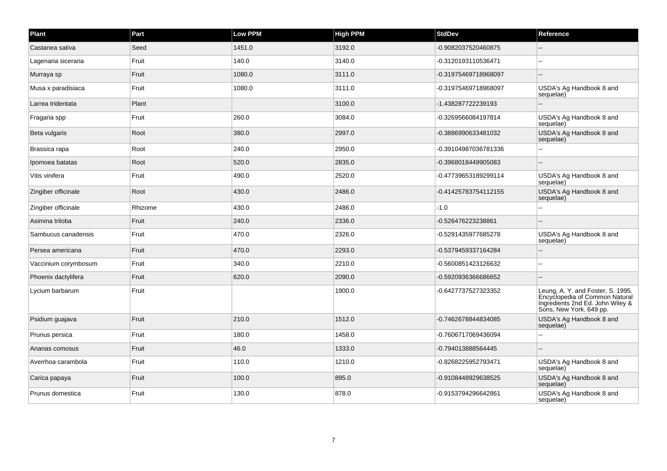| Plant                | Part    | <b>Low PPM</b> | <b>High PPM</b> | <b>StdDev</b>        | Reference                                                                                                                          |
|----------------------|---------|----------------|-----------------|----------------------|------------------------------------------------------------------------------------------------------------------------------------|
| Castanea sativa      | Seed    | 1451.0         | 3192.0          | -0.9082037520460875  |                                                                                                                                    |
| Lagenaria siceraria  | Fruit   | 140.0          | 3140.0          | -0.3120193110536471  | $\sim$                                                                                                                             |
| Murraya sp           | Fruit   | 1080.0         | 3111.0          | -0.31975469718968097 | $\overline{a}$                                                                                                                     |
| Musa x paradisiaca   | Fruit   | 1080.0         | 3111.0          | -0.31975469718968097 | USDA's Ag Handbook 8 and<br>sequelae)                                                                                              |
| Larrea tridentata    | Plant   |                | 3100.0          | -1.438287722239193   |                                                                                                                                    |
| Fragaria spp         | Fruit   | 260.0          | 3084.0          | -0.3269566084197814  | USDA's Ag Handbook 8 and<br>sequelae)                                                                                              |
| Beta vulgaris        | Root    | 380.0          | 2997.0          | -0.3886990633481032  | USDA's Ag Handbook 8 and<br>sequelae)                                                                                              |
| Brassica rapa        | Root    | 240.0          | 2950.0          | -0.39104987036781336 | $\overline{a}$                                                                                                                     |
| Ipomoea batatas      | Root    | 520.0          | 2835.0          | -0.3968018449905083  | ٠.                                                                                                                                 |
| Vitis vinifera       | Fruit   | 490.0          | 2520.0          | -0.47739653189299114 | USDA's Ag Handbook 8 and<br>sequelae)                                                                                              |
| Zingiber officinale  | Root    | 430.0          | 2486.0          | -0.41425783754112155 | USDA's Ag Handbook 8 and<br>sequelae)                                                                                              |
| Zingiber officinale  | Rhizome | 430.0          | 2486.0          | $-1.0$               |                                                                                                                                    |
| Asimina triloba      | Fruit   | 240.0          | 2336.0          | -0.526476223238861   | $\sim$ $\sim$                                                                                                                      |
| Sambucus canadensis  | Fruit   | 470.0          | 2326.0          | -0.5291435977685278  | USDA's Ag Handbook 8 and<br>sequelae)                                                                                              |
| Persea americana     | Fruit   | 470.0          | 2293.0          | -0.5379459337164284  |                                                                                                                                    |
| Vaccinium corymbosum | Fruit   | 340.0          | 2210.0          | -0.5600851423126632  |                                                                                                                                    |
| Phoenix dactylifera  | Fruit   | 620.0          | 2090.0          | -0.5920936366686652  | $\sim$                                                                                                                             |
| Lycium barbarum      | Fruit   |                | 1900.0          | -0.6427737527323352  | Leung, A. Y. and Foster, S. 1995.<br>Encyclopedia of Common Natural<br>Ingredients 2nd Ed. John Wiley &<br>Sons, New York. 649 pp. |
| Psidium guajava      | Fruit   | 210.0          | 1512.0          | -0.7462678844834085  | USDA's Ag Handbook 8 and<br>sequelae)                                                                                              |
| Prunus persica       | Fruit   | 180.0          | 1458.0          | -0.7606717069436094  | ٠.                                                                                                                                 |
| Ananas comosus       | Fruit   | 46.0           | 1333.0          | -0.794013888564445   |                                                                                                                                    |
| Averrhoa carambola   | Fruit   | 110.0          | 1210.0          | -0.8268225952793471  | USDA's Ag Handbook 8 and<br>sequelae)                                                                                              |
| Carica papaya        | Fruit   | 100.0          | 895.0           | -0.9108448929638525  | USDA's Ag Handbook 8 and<br>sequelae)                                                                                              |
| Prunus domestica     | Fruit   | 130.0          | 878.0           | -0.9153794296642861  | USDA's Ag Handbook 8 and<br>sequelae)                                                                                              |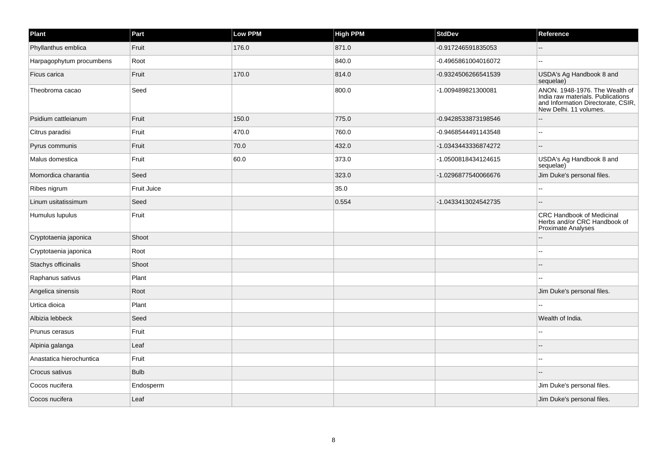| Plant                    | Part        | <b>Low PPM</b> | <b>High PPM</b> | <b>StdDev</b>       | Reference                                                                                                                           |
|--------------------------|-------------|----------------|-----------------|---------------------|-------------------------------------------------------------------------------------------------------------------------------------|
| Phyllanthus emblica      | Fruit       | 176.0          | 871.0           | -0.917246591835053  |                                                                                                                                     |
| Harpagophytum procumbens | Root        |                | 840.0           | -0.4965861004016072 | $\sim$                                                                                                                              |
| Ficus carica             | Fruit       | 170.0          | 814.0           | -0.9324506266541539 | USDA's Ag Handbook 8 and<br>sequelae)                                                                                               |
| Theobroma cacao          | Seed        |                | 800.0           | -1.009489821300081  | ANON. 1948-1976. The Wealth of<br>India raw materials. Publications<br>and Information Directorate, CSIR,<br>New Delhi. 11 volumes. |
| Psidium cattleianum      | Fruit       | 150.0          | 775.0           | -0.9428533873198546 |                                                                                                                                     |
| Citrus paradisi          | Fruit       | 470.0          | 760.0           | -0.9468544491143548 | ä.                                                                                                                                  |
| Pyrus communis           | Fruit       | 70.0           | 432.0           | -1.0343443336874272 | $\sim$                                                                                                                              |
| Malus domestica          | Fruit       | 60.0           | 373.0           | -1.0500818434124615 | USDA's Ag Handbook 8 and<br>sequelae)                                                                                               |
| Momordica charantia      | Seed        |                | 323.0           | -1.0296877540066676 | Jim Duke's personal files.                                                                                                          |
| Ribes nigrum             | Fruit Juice |                | 35.0            |                     |                                                                                                                                     |
| Linum usitatissimum      | Seed        |                | 0.554           | -1.0433413024542735 | $\sim$                                                                                                                              |
| Humulus lupulus          | Fruit       |                |                 |                     | <b>CRC Handbook of Medicinal</b><br>Herbs and/or CRC Handbook of<br><b>Proximate Analyses</b>                                       |
| Cryptotaenia japonica    | Shoot       |                |                 |                     |                                                                                                                                     |
| Cryptotaenia japonica    | Root        |                |                 |                     |                                                                                                                                     |
| Stachys officinalis      | Shoot       |                |                 |                     |                                                                                                                                     |
| Raphanus sativus         | Plant       |                |                 |                     |                                                                                                                                     |
| Angelica sinensis        | Root        |                |                 |                     | Jim Duke's personal files.                                                                                                          |
| Urtica dioica            | Plant       |                |                 |                     |                                                                                                                                     |
| Albizia lebbeck          | Seed        |                |                 |                     | Wealth of India.                                                                                                                    |
| Prunus cerasus           | Fruit       |                |                 |                     |                                                                                                                                     |
| Alpinia galanga          | Leaf        |                |                 |                     |                                                                                                                                     |
| Anastatica hierochuntica | Fruit       |                |                 |                     | $\sim$                                                                                                                              |
| Crocus sativus           | <b>Bulb</b> |                |                 |                     |                                                                                                                                     |
| Cocos nucifera           | Endosperm   |                |                 |                     | Jim Duke's personal files.                                                                                                          |
| Cocos nucifera           | Leaf        |                |                 |                     | Jim Duke's personal files.                                                                                                          |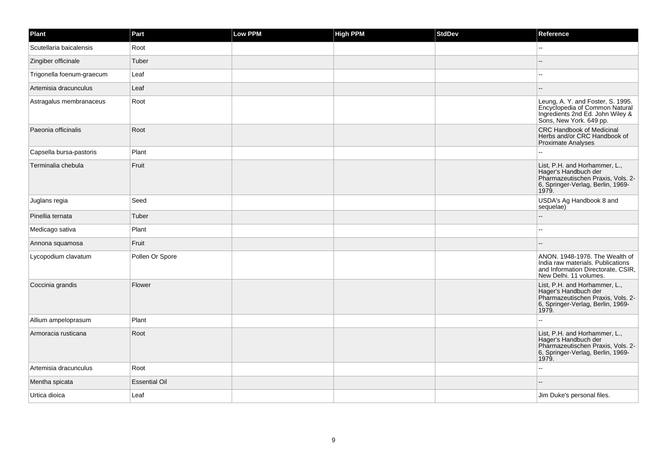| Plant                     | Part                 | <b>Low PPM</b> | <b>High PPM</b> | <b>StdDev</b> | Reference                                                                                                                                |
|---------------------------|----------------------|----------------|-----------------|---------------|------------------------------------------------------------------------------------------------------------------------------------------|
| Scutellaria baicalensis   | Root                 |                |                 |               |                                                                                                                                          |
| Zingiber officinale       | Tuber                |                |                 |               |                                                                                                                                          |
| Trigonella foenum-graecum | Leaf                 |                |                 |               | --                                                                                                                                       |
| Artemisia dracunculus     | Leaf                 |                |                 |               |                                                                                                                                          |
| Astragalus membranaceus   | Root                 |                |                 |               | Leung, A. Y. and Foster, S. 1995.<br>Encyclopedia of Common Natural<br>Ingredients 2nd Ed. John Wiley &<br>Sons, New York. 649 pp.       |
| Paeonia officinalis       | Root                 |                |                 |               | <b>CRC Handbook of Medicinal</b><br>Herbs and/or CRC Handbook of<br><b>Proximate Analyses</b>                                            |
| Capsella bursa-pastoris   | Plant                |                |                 |               |                                                                                                                                          |
| Terminalia chebula        | Fruit                |                |                 |               | List, P.H. and Horhammer, L.,<br>Hager's Handbuch der<br>Pharmazeutischen Praxis, Vols. 2-<br>6, Springer-Verlag, Berlin, 1969-<br>1979. |
| Juglans regia             | Seed                 |                |                 |               | USDA's Ag Handbook 8 and<br>sequelae)                                                                                                    |
| Pinellia ternata          | Tuber                |                |                 |               |                                                                                                                                          |
| Medicago sativa           | Plant                |                |                 |               |                                                                                                                                          |
| Annona squamosa           | Fruit                |                |                 |               |                                                                                                                                          |
| Lycopodium clavatum       | Pollen Or Spore      |                |                 |               | ANON, 1948-1976. The Wealth of<br>India raw materials. Publications<br>and Information Directorate, CSIR,<br>New Delhi. 11 volumes.      |
| Coccinia grandis          | Flower               |                |                 |               | List, P.H. and Horhammer, L.,<br>Hager's Handbuch der<br>Pharmazeutischen Praxis, Vols. 2-<br>6, Springer-Verlag, Berlin, 1969-<br>1979. |
| Allium ampeloprasum       | Plant                |                |                 |               |                                                                                                                                          |
| Armoracia rusticana       | Root                 |                |                 |               | List, P.H. and Horhammer, L.,<br>Hager's Handbuch der<br>Pharmazeutischen Praxis, Vols. 2-<br>6, Springer-Verlag, Berlin, 1969-<br>1979. |
| Artemisia dracunculus     | Root                 |                |                 |               |                                                                                                                                          |
| Mentha spicata            | <b>Essential Oil</b> |                |                 |               |                                                                                                                                          |
| Urtica dioica             | Leaf                 |                |                 |               | Jim Duke's personal files.                                                                                                               |